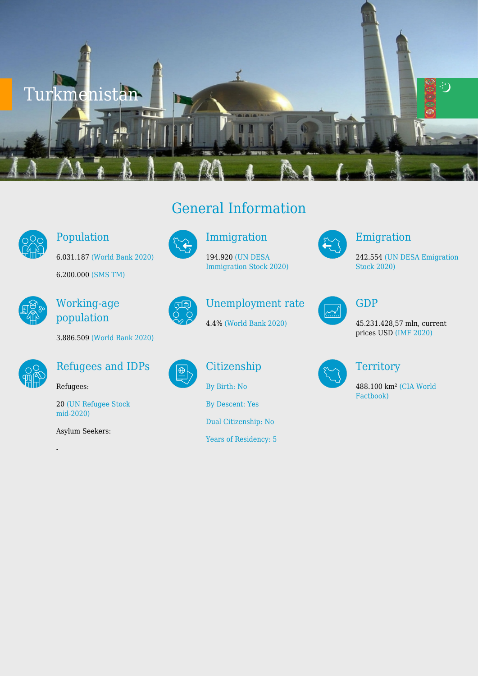

#### Population

6.031.187 [\(World Bank 2020\)](https://databank.worldbank.org/reports.aspx?source=2&series=SP.POP.TOTL&country=ALB,AUT,ARM,AZE,BLR,BEL,BIH,BGR,HRV,CYP,CZE,DNK,EST,FIN,FRA,GEO,DEU,GRC,HUN,IRL,ITA,KAZ,XKX,KGZ,LVA,LIE,LTU,LUX,MKD,MLT,MDA,MNE,NLD,NOR,POL,PRT,ROU,RUS,SRB,SVK,SVN,ESP,SWE,CHE,TJK,TUR,TKM,UKR,UZB) 6.200.000 [\(SMS TM\)](http://migration.gov.tm/en/general-information/)



#### Working-age population





#### Refugees and IDPs

Refugees:

20 [\(UN Refugee Stock](https://www.unhcr.org/refugee-statistics/download/?url=jWAn83) [mid-2020\)](https://www.unhcr.org/refugee-statistics/download/?url=jWAn83)

Asylum Seekers:

-

# General Information



#### Immigration

194.920 [\(UN DESA](https://www.un.org/development/desa/pd/content/international-migrant-stock) [Immigration Stock 2020\)](https://www.un.org/development/desa/pd/content/international-migrant-stock)

 $\bigoplus$ 

# Unemployment rate

4.4% [\(World Bank 2020\)](https://databank.worldbank.org/reports.aspx?source=2&series=SP.POP.TOTL&country=ALB,AUT,ARM,AZE,BLR,BEL,BIH,BGR,HRV,CYP,CZE,DNK,EST,FIN,FRA,GEO,DEU,GRC,HUN,IRL,ITA,KAZ,XKX,KGZ,LVA,LIE,LTU,LUX,MKD,MLT,MDA,MNE,NLD,NOR,POL,PRT,ROU,RUS,SRB,SVK,SVN,ESP,SWE,CHE,TJK,TUR,TKM,UKR,UZB)

## Citizenship

[By Birth: No](http://globalcit.eu/acquisition-citizenship/)

[By Descent: Yes](http://globalcit.eu/acquisition-citizenship/)

[Dual Citizenship: No](http://globalcit.eu/acquisition-citizenship/)

[Years of Residency: 5](http://globalcit.eu/acquisition-citizenship/)



#### Emigration

242.554 [\(UN DESA Emigration](https://www.un.org/development/desa/pd/content/international-migrant-stock) [Stock 2020\)](https://www.un.org/development/desa/pd/content/international-migrant-stock)

| . |  |
|---|--|
|   |  |

#### GDP

45.231.428,57 mln, current prices USD [\(IMF 2020\)](https://www.imf.org/en/Publications/WEO/weo-database/2020/October/weo-report?c=925,&s=NGDPD,PPPGDP,NGDPDPC,PPPPC,PCPIPCH,&sy=2020&ey=2020&ssm=0&scsm=1&scc=0&ssd=1&ssc=0&sic=0&sort=country&ds=.&br=1)



### **Territory**

488.100 km² [\(CIA World](https://www.cia.gov/library/publications/resources/the-world-factbook/geos/tx.html) [Factbook\)](https://www.cia.gov/library/publications/resources/the-world-factbook/geos/tx.html)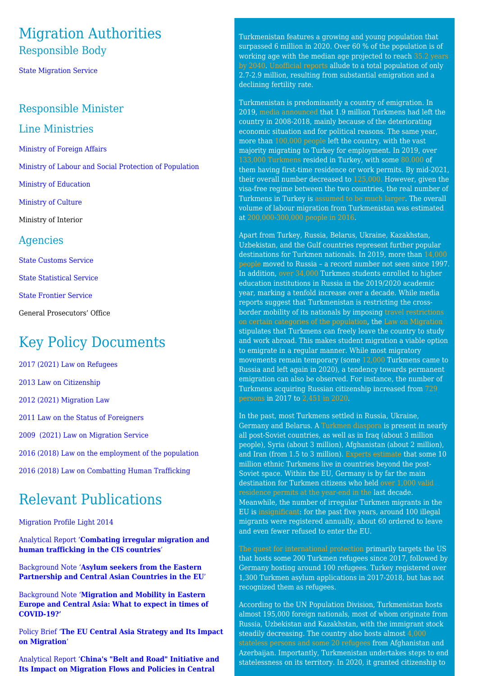### Migration Authorities Responsible Body

[State Migration Service](http://migration.gov.tm/en/)

#### Responsible Minister

#### Line Ministries

[Ministry of Foreign Affairs](https://www.mfa.gov.tm/en)

[Ministry of Labour and Social Protection of Population](https://mlsp.gov.tm/ru)

[Ministry of Education](http://www.education.gov.tm/en)

[Ministry of Culture](https://medeniyet.gov.tm/tk) 

Ministry of Interior

#### Agencies

[State Customs Service](https://customs.gov.tm/ru)

[State Statistical Service](https://stat.gov.tm/)

[State Frontier Service](https://serhetabat-dovletabat.gov.tm/)

General Prosecutors' Office

# Key Policy Documents

[2017 \(2021\) Law on Refugees](https://minjust.gov.tm/mcenter-single-ru/92) [2013 Law on Citizenship](https://www.mfa.gov.tm/ru/articles/74) [2012 \(2021\) Migration Law](https://minjust.gov.tm/mcenter-single-ru/215)

[2011 Law on the Status of Foreigners](https://www.mfa.gov.tm/ru/articles/80)

[2009 \(2021\) Law on Migration Service](https://minjust.gov.tm/mcenter-single-ru/246)

[2016 \(2018\) Law on the employment of the population](https://minjust.gov.tm/mcenter-single-ru/112)

[2016 \(2018\) Law on Combatting Human Trafficking](https://minjust.gov.tm/mcenter-single-ru/108)

## Relevant Publications

[Migration Profile Light 2014](https://www.pragueprocess.eu/en/migration-observatory/publications/document?id=32)

[Analytical Report '](https://www.pragueprocess.eu/en/migration-observatory/publications/document?id=250)**[Combating irregular migration and](https://www.pragueprocess.eu/en/migration-observatory/publications/document?id=250) [human trafficking in the CIS countries](https://www.pragueprocess.eu/en/migration-observatory/publications/document?id=250)**['](https://www.pragueprocess.eu/en/migration-observatory/publications/document?id=250)

[Background Note '](https://www.pragueprocess.eu/en/migration-observatory/publications/document?id=244)**[Asylum seekers from the Eastern](https://www.pragueprocess.eu/en/migration-observatory/publications/document?id=244) [Partnership and Central Asian Countries in the EU](https://www.pragueprocess.eu/en/migration-observatory/publications/document?id=244)**['](https://www.pragueprocess.eu/en/migration-observatory/publications/document?id=244)

[Background Note '](https://www.pragueprocess.eu/en/migration-observatory/publications/document?id=214)**[Migration and Mobility in Eastern](https://www.pragueprocess.eu/en/migration-observatory/publications/document?id=214) [Europe and Central Asia: What to expect in times of](https://www.pragueprocess.eu/en/migration-observatory/publications/document?id=214) [COVID-19?'](https://www.pragueprocess.eu/en/migration-observatory/publications/document?id=214)**

[Policy Brief '](https://www.pragueprocess.eu/en/migration-observatory/publications/document?id=198)**[The EU Central Asia Strategy and Its Impact](https://www.pragueprocess.eu/en/migration-observatory/publications/document?id=198) [on Migration](https://www.pragueprocess.eu/en/migration-observatory/publications/document?id=198)**['](https://www.pragueprocess.eu/en/migration-observatory/publications/document?id=198)

[Analytical Report '](https://www.pragueprocess.eu/en/migration-observatory/publications/document?id=150)**[China's "Belt and Road" Initiative and](https://www.pragueprocess.eu/en/migration-observatory/publications/document?id=150) [Its Impact on Migration Flows and Policies in Central](https://www.pragueprocess.eu/en/migration-observatory/publications/document?id=150)**

Turkmenistan features a growing and young population that surpassed 6 million in 2020. Over 60 % of the population is of working age with the median age projected to reach [35.2 years](https://documents.worldbank.org/pt/publication/documents-reports/documentdetail/866441468196139470/demography-aging-and-mobility-in-the-eca-region-a-critical-overview-of-trends-and-future-challenges) [by 2040.](https://documents.worldbank.org/pt/publication/documents-reports/documentdetail/866441468196139470/demography-aging-and-mobility-in-the-eca-region-a-critical-overview-of-trends-and-future-challenges) [Unofficial reports](https://rus.azattyq.org/a/turkmenistan-population-decline-exodus/31356612.html) allude to a total population of only 2.7-2.9 million, resulting from substantial emigration and a declining fertility rate.

Turkmenistan is predominantly a country of emigration. In 2019, [media announced](https://www.rferl.org/a/escape-from-turkmenistan-almost-2-million-have-fled-but-the-president-won-t-hear-of-it/29987972.html) that 1.9 million Turkmens had left the country in 2008-2018, mainly because of the deteriorating economic situation and for political reasons. The same year, more than [100,000 people](http://meteojurnal.ru/stati/v-2019-godu-iz-turkmenistana-emigrirovalo-poryadka-110-tysyach-chelovek-ili-22-naseleniya-strany/) left the country, with the vast majority migrating to Turkey for employment. In 2019, over [133,000 Turkmens](https://data.tuik.gov.tr/Kategori/GetKategori?p=nufus-ve-demografi-109&dil=2) resided in Turkey, with some [80.000](https://data.tuik.gov.tr/Kategori/GetKategori?p=nufus-ve-demografi-109&dil=2) of them having first-time residence or work permits. By mid-2021, their overall number decreased to [125,000.](https://en.goc.gov.tr/residence-permits) However, given the visa-free regime between the two countries, the real number of Turkmens in Turkey is [assumed to be much larger.](https://rus.azattyq.org/a/turkmenistan-population-decline-exodus/31356612.html) The overall volume of labour migration from Turkmenistan was estimated at [200,000-300,000 people in 2016](https://mgimo.ru/upload/2020/08/Return%20Migration%20in%20CA_RUS.pdf).

Apart from Turkey, Russia, Belarus, Ukraine, Kazakhstan, Uzbekistan, and the Gulf countries represent further popular destinations for Turkmen nationals. In 2019, more than [14,000](https://rosstat.gov.ru/folder/210/document/12994) [people](https://rosstat.gov.ru/folder/210/document/12994) moved to Russia – a record number not seen since 1997. In addition, [over 34,000](https://rosstat.gov.ru/folder/210/document/12994) Turkmen students enrolled to higher education institutions in Russia in the 2019/2020 academic year, marking a tenfold increase over a decade. While media reports suggest that Turkmenistan is restricting the crossborder mobility of its nationals by imposing [travel restrictions](https://rus.azattyq.org/a/29325198.html) [on certain categories of the population](https://rus.azattyq.org/a/29325198.html), the [Law on Migration](https://mgimo.ru/upload/2020/08/Return%20Migration%20in%20CA_RUS.pdf) stipulates that Turkmens can freely leave the country to study and work abroad. This makes student migration a viable option to emigrate in a regular manner. While most migratory movements remain temporary (some [12,000](https://rosstat.gov.ru/compendium/document/13283) Turkmens came to Russia and left again in 2020), a tendency towards permanent emigration can also be observed. For instance, the number of Turkmens acquiring Russian citizenship increased from [729](https://мвд.рф/Deljatelnost/statistics/migracionnaya/item/12162171/) [persons](https://мвд.рф/Deljatelnost/statistics/migracionnaya/item/12162171/) in 2017 to [2,451 in 2020](https://мвд.рф/Deljatelnost/statistics/migracionnaya/item/22689602/).

In the past, most Turkmens settled in Russia, Ukraine, Germany and Belarus. A [Turkmen diaspora](https://mgimo.ru/upload/2020/08/Return%20Migration%20in%20CA_RUS.pdf) is present in nearly all post-Soviet countries, as well as in Iraq (about 3 million people), Syria (about 3 million), Afghanistan (about 2 million), and Iran (from 1.5 to 3 million). [Experts estimate](https://mgimo.ru/upload/2020/08/Return%20Migration%20in%20CA_RUS.pdf) that some 10 million ethnic Turkmens live in countries beyond the post-Soviet space. Within the EU, Germany is by far the main destination for Turkmen citizens who held [over 1,000 valid](https://ec.europa.eu/eurostat/data/database) [residence permits at the year-end in the](https://ec.europa.eu/eurostat/data/database) last decade. Meanwhile, the number of irregular Turkmen migrants in the EU is [insignificant](https://ec.europa.eu/eurostat/data/database): for the past five years, around 100 illegal migrants were registered annually, about 60 ordered to leave and even fewer refused to enter the EU.

[The quest for international protection](https://www.unhcr.org/refugee-statistics/download/) primarily targets the US that hosts some 200 Turkmen refugees since 2017, followed by Germany hosting around 100 refugees. Turkey registered over 1,300 Turkmen asylum applications in 2017-2018, but has not recognized them as refugees.

According to the UN Population Division, Turkmenistan hosts almost 195,000 foreign nationals, most of whom originate from Russia, Uzbekistan and Kazakhstan, with the immigrant stock steadily decreasing. The country also hosts almost [4,000](https://www.unhcr.org/refugee-statistics/download/) [stateless persons and some 20 refugees](https://www.unhcr.org/refugee-statistics/download/) from Afghanistan and Azerbaijan. Importantly, Turkmenistan undertakes steps to end statelessness on its territory. In 2020, it granted citizenship to